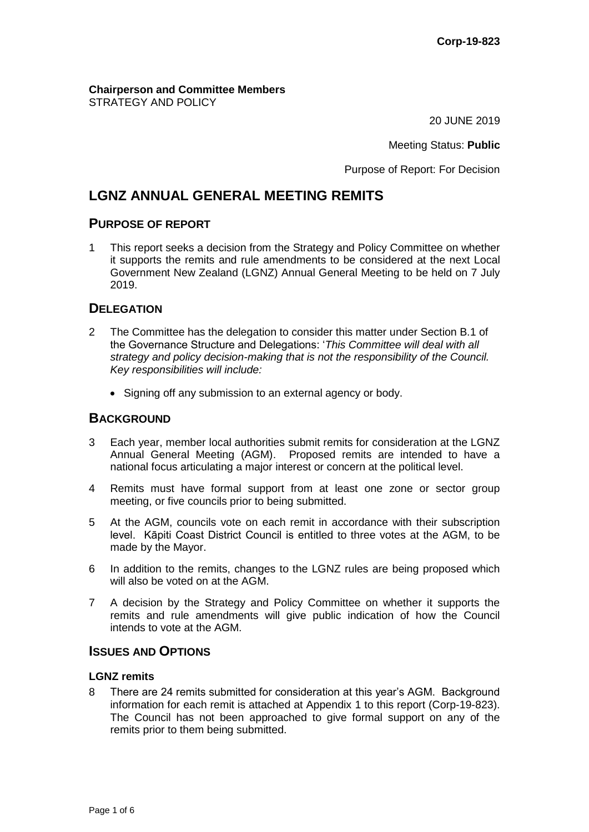#### **Chairperson and Committee Members** STRATEGY AND POLICY

20 JUNE 2019

Meeting Status: **Public**

Purpose of Report: For Decision

# **LGNZ ANNUAL GENERAL MEETING REMITS**

## **PURPOSE OF REPORT**

1 This report seeks a decision from the Strategy and Policy Committee on whether it supports the remits and rule amendments to be considered at the next Local Government New Zealand (LGNZ) Annual General Meeting to be held on 7 July 2019.

# **DELEGATION**

- 2 The Committee has the delegation to consider this matter under Section B.1 of the Governance Structure and Delegations: '*This Committee will deal with all strategy and policy decision-making that is not the responsibility of the Council. Key responsibilities will include:* 
	- Signing off any submission to an external agency or body.

# **BACKGROUND**

- 3 Each year, member local authorities submit remits for consideration at the LGNZ Annual General Meeting (AGM). Proposed remits are intended to have a national focus articulating a major interest or concern at the political level.
- 4 Remits must have formal support from at least one zone or sector group meeting, or five councils prior to being submitted.
- 5 At the AGM, councils vote on each remit in accordance with their subscription level. Kāpiti Coast District Council is entitled to three votes at the AGM, to be made by the Mayor.
- 6 In addition to the remits, changes to the LGNZ rules are being proposed which will also be voted on at the AGM.
- 7 A decision by the Strategy and Policy Committee on whether it supports the remits and rule amendments will give public indication of how the Council intends to vote at the AGM.

# **ISSUES AND OPTIONS**

#### **LGNZ remits**

8 There are 24 remits submitted for consideration at this year's AGM. Background information for each remit is attached at Appendix 1 to this report (Corp-19-823). The Council has not been approached to give formal support on any of the remits prior to them being submitted.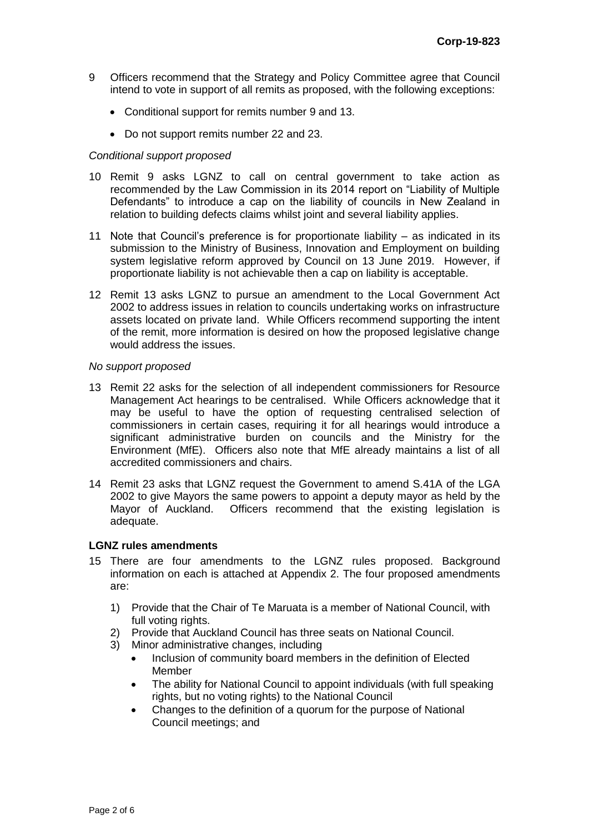- 9 Officers recommend that the Strategy and Policy Committee agree that Council intend to vote in support of all remits as proposed, with the following exceptions:
	- Conditional support for remits number 9 and 13.
	- Do not support remits number 22 and 23.

#### *Conditional support proposed*

- 10 Remit 9 asks LGNZ to call on central government to take action as recommended by the Law Commission in its 2014 report on "Liability of Multiple Defendants" to introduce a cap on the liability of councils in New Zealand in relation to building defects claims whilst joint and several liability applies.
- 11 Note that Council's preference is for proportionate liability as indicated in its submission to the Ministry of Business, Innovation and Employment on building system legislative reform approved by Council on 13 June 2019. However, if proportionate liability is not achievable then a cap on liability is acceptable.
- 12 Remit 13 asks LGNZ to pursue an amendment to the Local Government Act 2002 to address issues in relation to councils undertaking works on infrastructure assets located on private land. While Officers recommend supporting the intent of the remit, more information is desired on how the proposed legislative change would address the issues.

#### *No support proposed*

- 13 Remit 22 asks for the selection of all independent commissioners for Resource Management Act hearings to be centralised. While Officers acknowledge that it may be useful to have the option of requesting centralised selection of commissioners in certain cases, requiring it for all hearings would introduce a significant administrative burden on councils and the Ministry for the Environment (MfE). Officers also note that MfE already maintains a list of all accredited commissioners and chairs.
- 14 Remit 23 asks that LGNZ request the Government to amend S.41A of the LGA 2002 to give Mayors the same powers to appoint a deputy mayor as held by the Mayor of Auckland. Officers recommend that the existing legislation is adequate.

### **LGNZ rules amendments**

- 15 There are four amendments to the LGNZ rules proposed. Background information on each is attached at Appendix 2. The four proposed amendments are:
	- 1) Provide that the Chair of Te Maruata is a member of National Council, with full voting rights.
	- 2) Provide that Auckland Council has three seats on National Council.
	- 3) Minor administrative changes, including
		- Inclusion of community board members in the definition of Elected Member
		- The ability for National Council to appoint individuals (with full speaking rights, but no voting rights) to the National Council
		- Changes to the definition of a quorum for the purpose of National Council meetings; and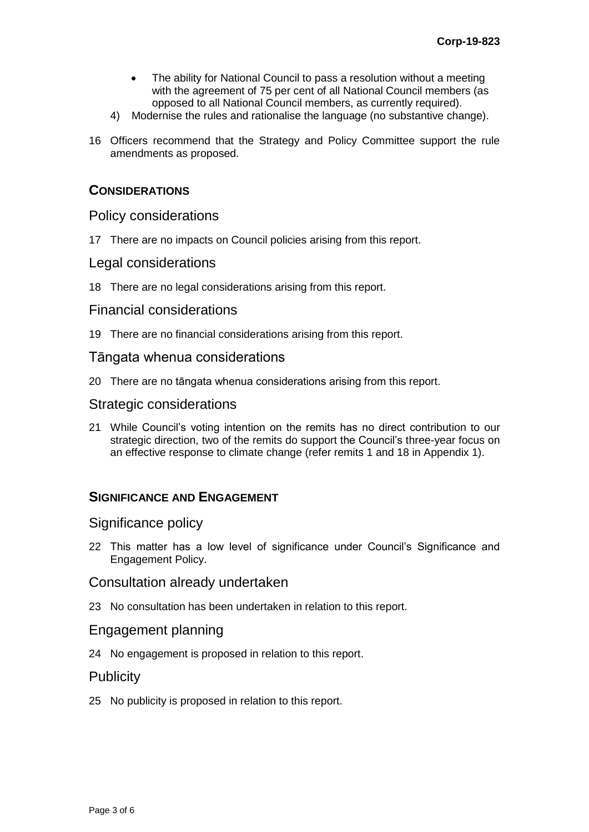- The ability for National Council to pass a resolution without a meeting with the agreement of 75 per cent of all National Council members (as opposed to all National Council members, as currently required).
- 4) Modernise the rules and rationalise the language (no substantive change).
- 16 Officers recommend that the Strategy and Policy Committee support the rule amendments as proposed.

## **CONSIDERATIONS**

### Policy considerations

17 There are no impacts on Council policies arising from this report.

## Legal considerations

18 There are no legal considerations arising from this report.

### Financial considerations

19 There are no financial considerations arising from this report.

### Tāngata whenua considerations

20 There are no tāngata whenua considerations arising from this report.

### Strategic considerations

21 While Council's voting intention on the remits has no direct contribution to our strategic direction, two of the remits do support the Council's three-year focus on an effective response to climate change (refer remits 1 and 18 in Appendix 1).

# **SIGNIFICANCE AND ENGAGEMENT**

### Significance policy

22 This matter has a low level of significance under Council's Significance and Engagement Policy.

### Consultation already undertaken

23 No consultation has been undertaken in relation to this report.

### Engagement planning

24 No engagement is proposed in relation to this report.

## **Publicity**

25 No publicity is proposed in relation to this report.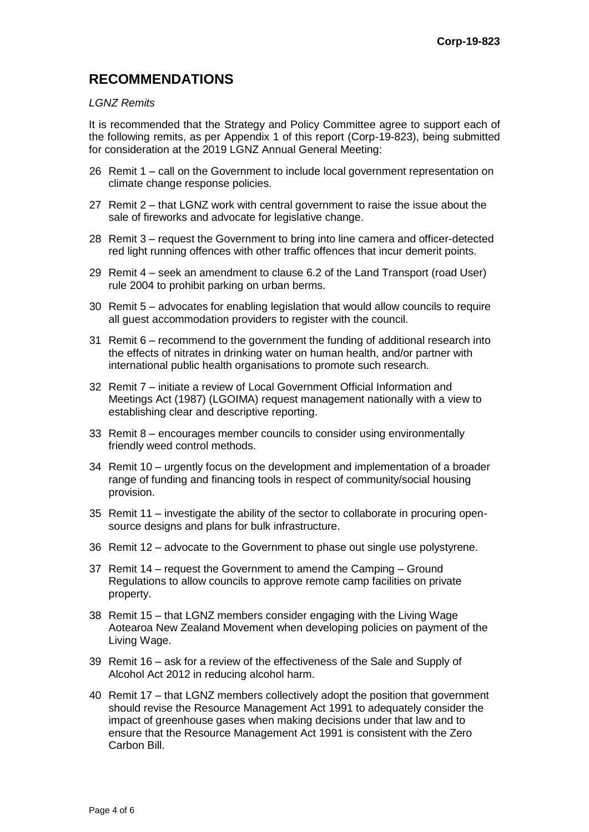# **RECOMMENDATIONS**

### *LGNZ Remits*

It is recommended that the Strategy and Policy Committee agree to support each of the following remits, as per Appendix 1 of this report (Corp-19-823), being submitted for consideration at the 2019 LGNZ Annual General Meeting:

- 26 Remit 1 call on the Government to include local government representation on climate change response policies.
- 27 Remit 2 that LGNZ work with central government to raise the issue about the sale of fireworks and advocate for legislative change.
- 28 Remit 3 request the Government to bring into line camera and officer-detected red light running offences with other traffic offences that incur demerit points.
- 29 Remit 4 seek an amendment to clause 6.2 of the Land Transport (road User) rule 2004 to prohibit parking on urban berms.
- 30 Remit 5 advocates for enabling legislation that would allow councils to require all guest accommodation providers to register with the council.
- 31 Remit 6 recommend to the government the funding of additional research into the effects of nitrates in drinking water on human health, and/or partner with international public health organisations to promote such research.
- 32 Remit 7 initiate a review of Local Government Official Information and Meetings Act (1987) (LGOIMA) request management nationally with a view to establishing clear and descriptive reporting.
- 33 Remit 8 encourages member councils to consider using environmentally friendly weed control methods.
- 34 Remit 10 urgently focus on the development and implementation of a broader range of funding and financing tools in respect of community/social housing provision.
- 35 Remit 11 investigate the ability of the sector to collaborate in procuring opensource designs and plans for bulk infrastructure.
- 36 Remit 12 advocate to the Government to phase out single use polystyrene.
- 37 Remit 14 request the Government to amend the Camping Ground Regulations to allow councils to approve remote camp facilities on private property.
- 38 Remit 15 that LGNZ members consider engaging with the Living Wage Aotearoa New Zealand Movement when developing policies on payment of the Living Wage.
- 39 Remit 16 ask for a review of the effectiveness of the Sale and Supply of Alcohol Act 2012 in reducing alcohol harm.
- 40 Remit 17 that LGNZ members collectively adopt the position that government should revise the Resource Management Act 1991 to adequately consider the impact of greenhouse gases when making decisions under that law and to ensure that the Resource Management Act 1991 is consistent with the Zero Carbon Bill.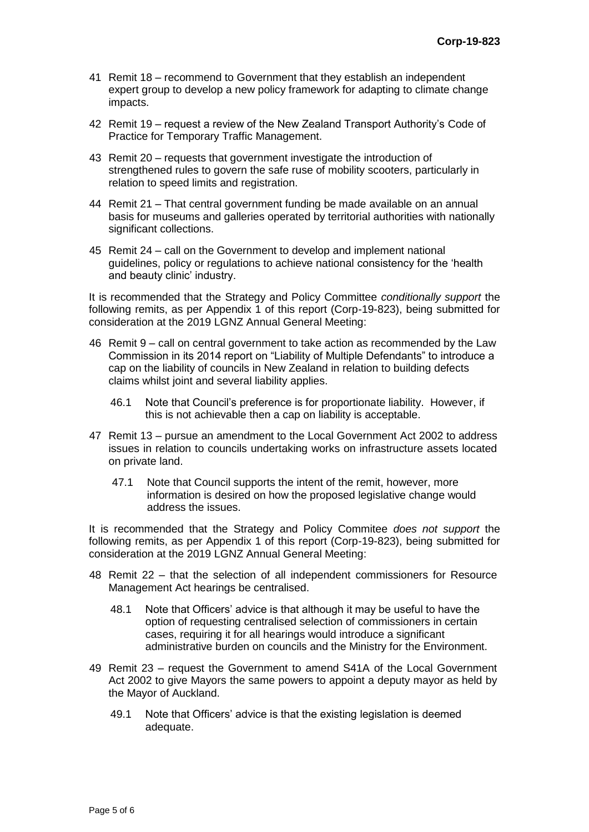- 41 Remit 18 recommend to Government that they establish an independent expert group to develop a new policy framework for adapting to climate change impacts.
- 42 Remit 19 request a review of the New Zealand Transport Authority's Code of Practice for Temporary Traffic Management.
- 43 Remit 20 requests that government investigate the introduction of strengthened rules to govern the safe ruse of mobility scooters, particularly in relation to speed limits and registration.
- 44 Remit 21 That central government funding be made available on an annual basis for museums and galleries operated by territorial authorities with nationally significant collections.
- 45 Remit 24 call on the Government to develop and implement national guidelines, policy or regulations to achieve national consistency for the 'health and beauty clinic' industry.

It is recommended that the Strategy and Policy Committee *conditionally support* the following remits, as per Appendix 1 of this report (Corp-19-823), being submitted for consideration at the 2019 LGNZ Annual General Meeting:

- 46 Remit 9 call on central government to take action as recommended by the Law Commission in its 2014 report on "Liability of Multiple Defendants" to introduce a cap on the liability of councils in New Zealand in relation to building defects claims whilst joint and several liability applies.
	- 46.1 Note that Council's preference is for proportionate liability. However, if this is not achievable then a cap on liability is acceptable.
- 47 Remit 13 pursue an amendment to the Local Government Act 2002 to address issues in relation to councils undertaking works on infrastructure assets located on private land.
	- 47.1 Note that Council supports the intent of the remit, however, more information is desired on how the proposed legislative change would address the issues.

It is recommended that the Strategy and Policy Commitee *does not support* the following remits, as per Appendix 1 of this report (Corp-19-823), being submitted for consideration at the 2019 LGNZ Annual General Meeting:

- 48 Remit 22 that the selection of all independent commissioners for Resource Management Act hearings be centralised.
	- 48.1 Note that Officers' advice is that although it may be useful to have the option of requesting centralised selection of commissioners in certain cases, requiring it for all hearings would introduce a significant administrative burden on councils and the Ministry for the Environment.
- 49 Remit 23 request the Government to amend S41A of the Local Government Act 2002 to give Mayors the same powers to appoint a deputy mayor as held by the Mayor of Auckland.
	- 49.1 Note that Officers' advice is that the existing legislation is deemed adequate.